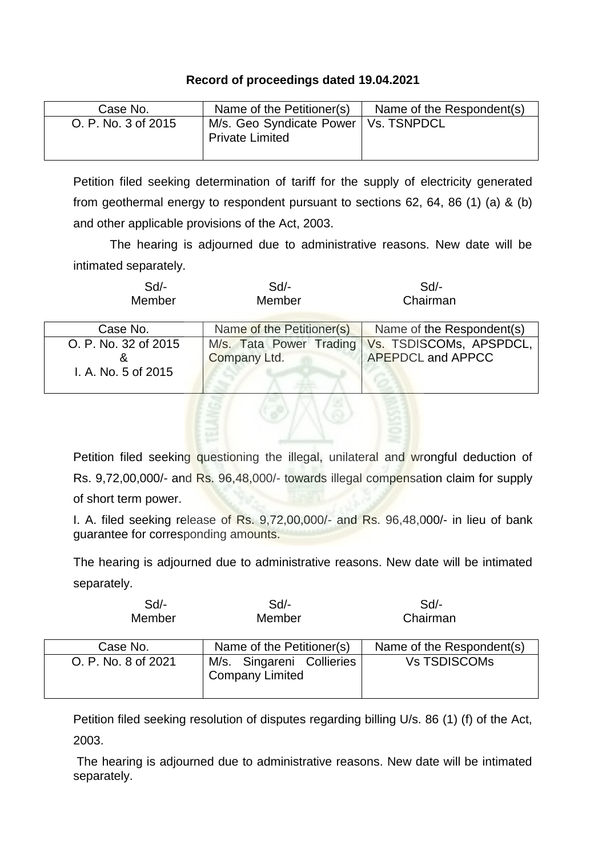## **Record of proceedings dated 19.04.2021**

| Case No.            | Name of the Petitioner(s)                                        | Name of the Respondent(s) |
|---------------------|------------------------------------------------------------------|---------------------------|
| O. P. No. 3 of 2015 | M/s. Geo Syndicate Power   Vs. TSNPDCL<br><b>Private Limited</b> |                           |

Petition filed seeking determination of tariff for the supply of electricity generated from geothermal energy to respondent pursuant to sections 62, 64, 86 (1) (a) & (b) and other applicable provisions of the Act, 2003.

The hearing is adjourned due to administrative reasons. New date will be intimated separately.

| $Sd$ -<br>Member                                 | $Sd$ -<br>Member                        | Sd<br>Chairman                                      |
|--------------------------------------------------|-----------------------------------------|-----------------------------------------------------|
| Case No.                                         | Name of the Petitioner(s)               | Name of the Respondent(s)                           |
| O. P. No. 32 of 2015<br>ă<br>I. A. No. 5 of 2015 | M/s. Tata Power Trading<br>Company Ltd. | Vs. TSDISCOMs, APSPDCL,<br><b>APEPDCL and APPCC</b> |

Petition filed seeking questioning the illegal, unilateral and wrongful deduction of Rs. 9,72,00,000/- and Rs. 96,48,000/- towards illegal compensation claim for supply of short term power.

I. A. filed seeking release of Rs. 9,72,00,000/- and Rs. 96,48,000/- in lieu of bank guarantee for corresponding amounts.

The hearing is adjourned due to administrative reasons. New date will be intimated separately.

| $Sd$ -<br>Member    | $Sd$ -<br>Member                                    | $Sd$ -<br>Chairman        |
|---------------------|-----------------------------------------------------|---------------------------|
| Case No.            | Name of the Petitioner(s)                           | Name of the Respondent(s) |
| O. P. No. 8 of 2021 | M/s. Singareni Collieries<br><b>Company Limited</b> | <b>Vs TSDISCOMs</b>       |

Petition filed seeking resolution of disputes regarding billing U/s. 86 (1) (f) of the Act, 2003.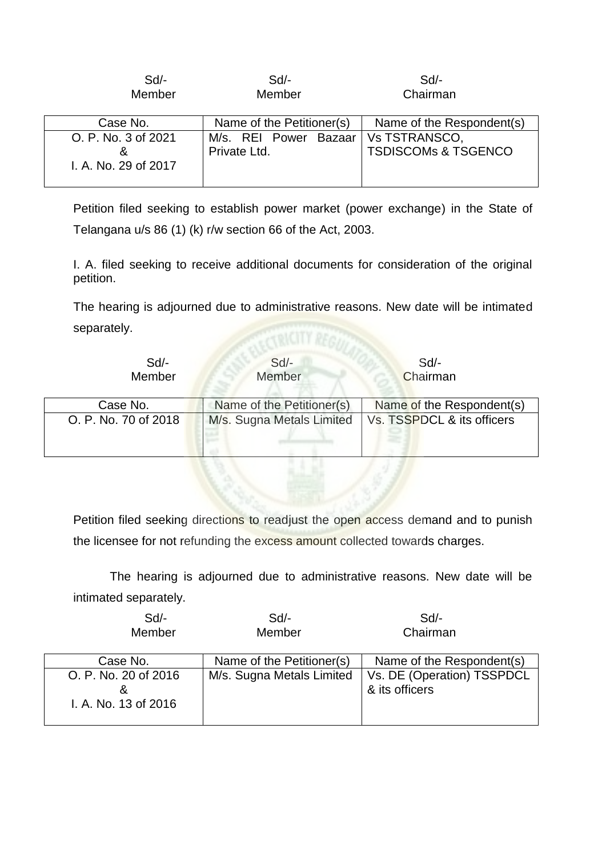| Sd<br>Member         | $Sd$ -<br>Member          | $Sd$ -<br>Chairman             |
|----------------------|---------------------------|--------------------------------|
| Case No.             | Name of the Petitioner(s) | Name of the Respondent(s)      |
| O. P. No. 3 of 2021  | M/s. REI Power Bazaar     | Vs TSTRANSCO,                  |
|                      | Private Ltd.              | <b>TSDISCOMs &amp; TSGENCO</b> |
| I. A. No. 29 of 2017 |                           |                                |
|                      |                           |                                |

Petition filed seeking to establish power market (power exchange) in the State of Telangana u/s 86 (1) (k) r/w section 66 of the Act, 2003.

I. A. filed seeking to receive additional documents for consideration of the original petition.

The hearing is adjourned due to administrative reasons. New date will be intimated separately.

| Sd<br>Member         | $Sd$ -<br>Member          | Sd<br>Chairman             |
|----------------------|---------------------------|----------------------------|
| Case No.             | Name of the Petitioner(s) | Name of the Respondent(s)  |
| O. P. No. 70 of 2018 | M/s. Sugna Metals Limited | Vs. TSSPDCL & its officers |

Petition filed seeking directions to readjust the open access demand and to punish the licensee for not refunding the excess amount collected towards charges.

| $Sd$ - | Sd     | Sd/-     |
|--------|--------|----------|
| Member | Member | Chairman |

| Case No.                                     | Name of the Petitioner(s) | Name of the Respondent(s)                    |
|----------------------------------------------|---------------------------|----------------------------------------------|
| O. P. No. 20 of 2016<br>I. A. No. 13 of 2016 | M/s. Sugna Metals Limited | Vs. DE (Operation) TSSPDCL<br>& its officers |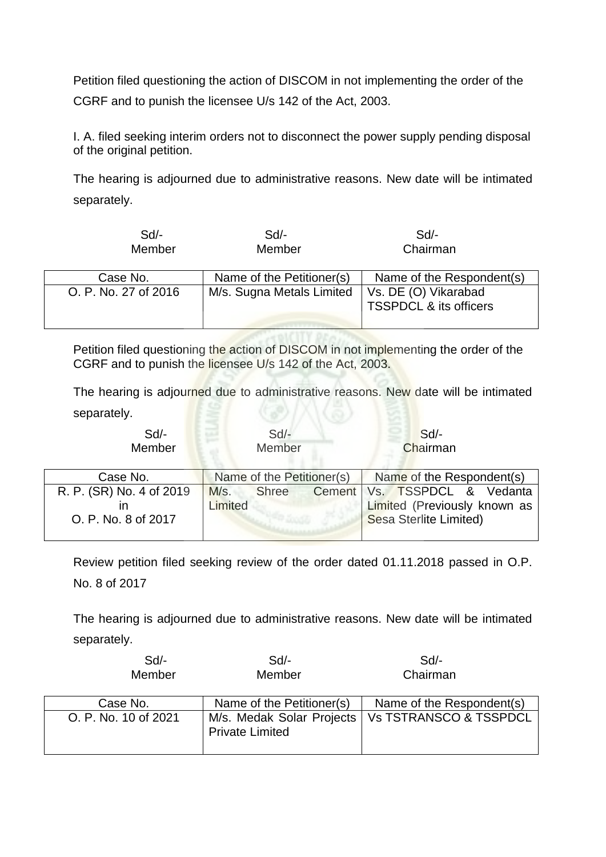Petition filed questioning the action of DISCOM in not implementing the order of the CGRF and to punish the licensee U/s 142 of the Act, 2003.

I. A. filed seeking interim orders not to disconnect the power supply pending disposal of the original petition.

The hearing is adjourned due to administrative reasons. New date will be intimated separately.

| $Sd$ -<br>Member     | $Sd$ -<br>Member          | Sd<br>Chairman                                            |
|----------------------|---------------------------|-----------------------------------------------------------|
| Case No.             | Name of the Petitioner(s) | Name of the Respondent(s)                                 |
| O. P. No. 27 of 2016 | M/s. Sugna Metals Limited | Vs. DE (O) Vikarabad<br><b>TSSPDCL &amp; its officers</b> |

Petition filed questioning the action of DISCOM in not implementing the order of the CGRF and to punish the licensee U/s 142 of the Act, 2003.

The hearing is adjourned due to administrative reasons. New date will be intimated separately.

| $Sd$ -<br>Member                                | $Sd$ -<br>Member                | $Sd$ -<br>Chairman                                                                       |
|-------------------------------------------------|---------------------------------|------------------------------------------------------------------------------------------|
| Case No.                                        | Name of the Petitioner(s)       | Name of the Respondent(s)                                                                |
| R. P. (SR) No. 4 of 2019<br>O. P. No. 8 of 2017 | M/s.<br><b>Shree</b><br>Limited | Cement   Vs. TSSPDCL & Vedanta<br>Limited (Previously known as<br>Sesa Sterlite Limited) |

Review petition filed seeking review of the order dated 01.11.2018 passed in O.P. No. 8 of 2017

| $Sd$ -<br>Member     | $Sd$ -<br>Member                                    | Sd<br>Chairman            |
|----------------------|-----------------------------------------------------|---------------------------|
| Case No.             | Name of the Petitioner(s)                           | Name of the Respondent(s) |
| O. P. No. 10 of 2021 | M/s. Medak Solar Projects<br><b>Private Limited</b> | Vs TSTRANSCO & TSSPDCL    |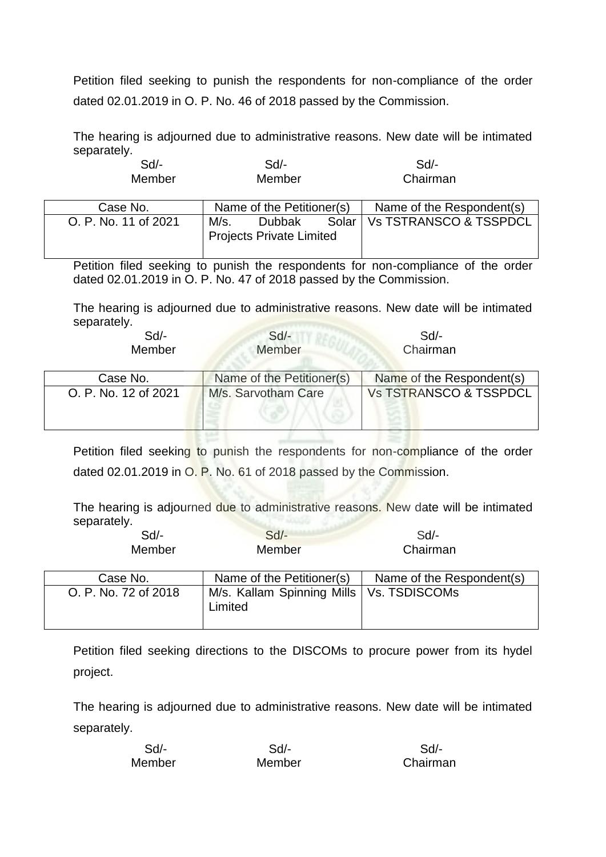Petition filed seeking to punish the respondents for non-compliance of the order dated 02.01.2019 in O. P. No. 46 of 2018 passed by the Commission.

The hearing is adjourned due to administrative reasons. New date will be intimated separately.

| $Sd$ -<br>Member     |      | Sd/-<br>Member                  |       | Sd<br>Chairman            |
|----------------------|------|---------------------------------|-------|---------------------------|
| Case No.             |      | Name of the Petitioner(s)       |       | Name of the Respondent(s) |
| O. P. No. 11 of 2021 | M/s. | <b>Dubbak</b>                   | Solar | Vs TSTRANSCO & TSSPDCL    |
|                      |      | <b>Projects Private Limited</b> |       |                           |

Petition filed seeking to punish the respondents for non-compliance of the order dated 02.01.2019 in O. P. No. 47 of 2018 passed by the Commission.

The hearing is adjourned due to administrative reasons. New date will be intimated separately.

| Sd/-   | $Sd$ - | Sd/-     |  |
|--------|--------|----------|--|
| Member | Member | Chairman |  |

| Case No.             | Name of the Petitioner(s) | Name of the Respondent(s)         |
|----------------------|---------------------------|-----------------------------------|
| O. P. No. 12 of 2021 | M/s. Sarvotham Care       | <b>Vs TSTRANSCO &amp; TSSPDCL</b> |
|                      |                           |                                   |

198 F

Petition filed seeking to punish the respondents for non-compliance of the order dated 02.01.2019 in O. P. No. 61 of 2018 passed by the Commission.

The hearing is adjourned due to administrative reasons. New date will be intimated separately.

| $Sd$ - | $Sd$ -        | $Sd$ -   |
|--------|---------------|----------|
| Member | <b>Member</b> | Chairman |

| Case No.             | Name of the Petitioner(s)                             | Name of the Respondent(s) |
|----------------------|-------------------------------------------------------|---------------------------|
| O. P. No. 72 of 2018 | M/s. Kallam Spinning Mills   Vs. TSDISCOMs<br>Limited |                           |

Petition filed seeking directions to the DISCOMs to procure power from its hydel project.

| Sd/-   | Sd/-   | Sd       |
|--------|--------|----------|
| Member | Member | Chairman |